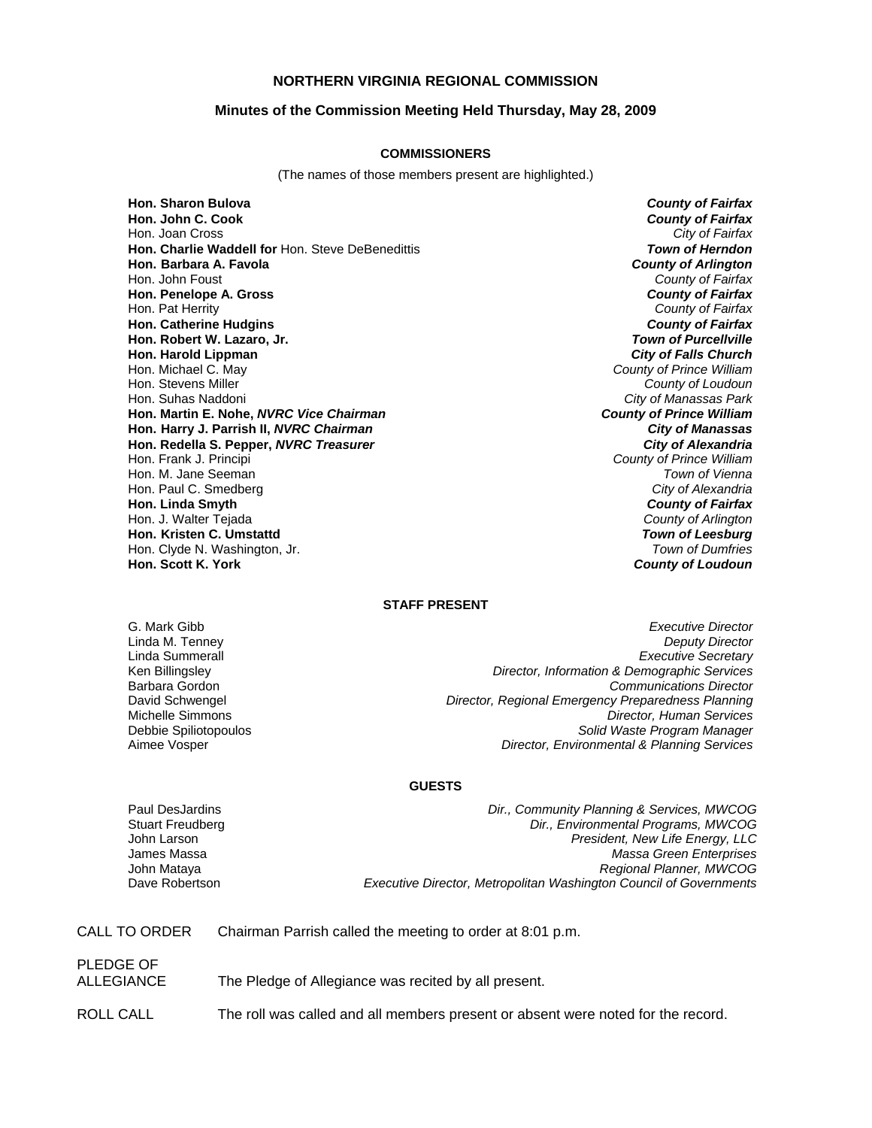## **NORTHERN VIRGINIA REGIONAL COMMISSION**

## **Minutes of the Commission Meeting Held Thursday, May 28, 2009**

### **COMMISSIONERS**

(The names of those members present are highlighted.)

**Hon. Sharon Bulova** *County of Fairfax* Hon. Joan Cross **Hon. Charlie Waddell for** Hon. Steve DeBenedittis *Town of Herndon* **Hon. Barbara A. Favola** *County of Arlington* Hon. John Foust *County of Fairfax* **Hon. Penelope A. Gross** *County of Fairfax* Hon. Pat Herrity *County of Fairfax* **Hon. Catherine Hudgins** *County of Fairfax* **Hon. Robert W. Lazaro, Jr.** *Town of Purcellville* **Hon. Harold Lippman**<br>**Hon. Michael C. May** Hon. Michael C. May *County of Prince William* Hon. Stevens Miller *County of Loudoun* **Hon. Martin E. Nohe,** *NVRC Vice Chairman* **Hon. Harry J. Parrish II,** *NVRC Chairman City of Manassas* **Hon. Redella S. Pepper,** *NVRC Treasurer City of Alexandria* Hon. Frank J. Principi *County of Prince William* Hon. M. Jane Seeman *Town of Vienna* Hon. Paul C. Smedberg *City of Alexandria* **Hon. Linda Smyth** *County of Fairfax* Hon. J. Walter Tejada *County of Arlington* **Hon. Kristen C. Umstattd** *Town of Leesburg* Hon. Clyde N. Washington, Jr. *Town of Dumfries*

**County of Fairfax**<br>City of Fairfax **City of Manassas Park**<br>**County of Prince William Hon. Scott K. York** *County of Loudoun*

### **STAFF PRESENT**

G. Mark Gibb *Executive Director* Linda M. Tenney *Deputy Director* Linda Summerall *Executive Secretary* Ken Billingsley *Director, Information & Demographic Services* Barbara Gordon *Communications Director* David Schwengel *Director, Regional Emergency Preparedness Planning* Michelle Simmons *Director, Human Services* Debbie Spiliotopoulos *Solid Waste Program Manager* **Director, Environmental & Planning Services** 

#### **GUESTS**

James Massa John Mataya

Paul DesJardins *Dir., Community Planning & Services, MWCOG* Stuart Freudberg *Dir., Environmental Programs, MWCOG* John Larson *President, New Life Energy, LLC Massa Green Enterprises Regional Planner, MWCOG* Dave Robertson *Executive Director, Metropolitan Washington Council of Governments*

CALL TO ORDER Chairman Parrish called the meeting to order at 8:01 p.m.

PLEDGE OF ALLEGIANCE The Pledge of Allegiance was recited by all present.

ROLL CALL The roll was called and all members present or absent were noted for the record.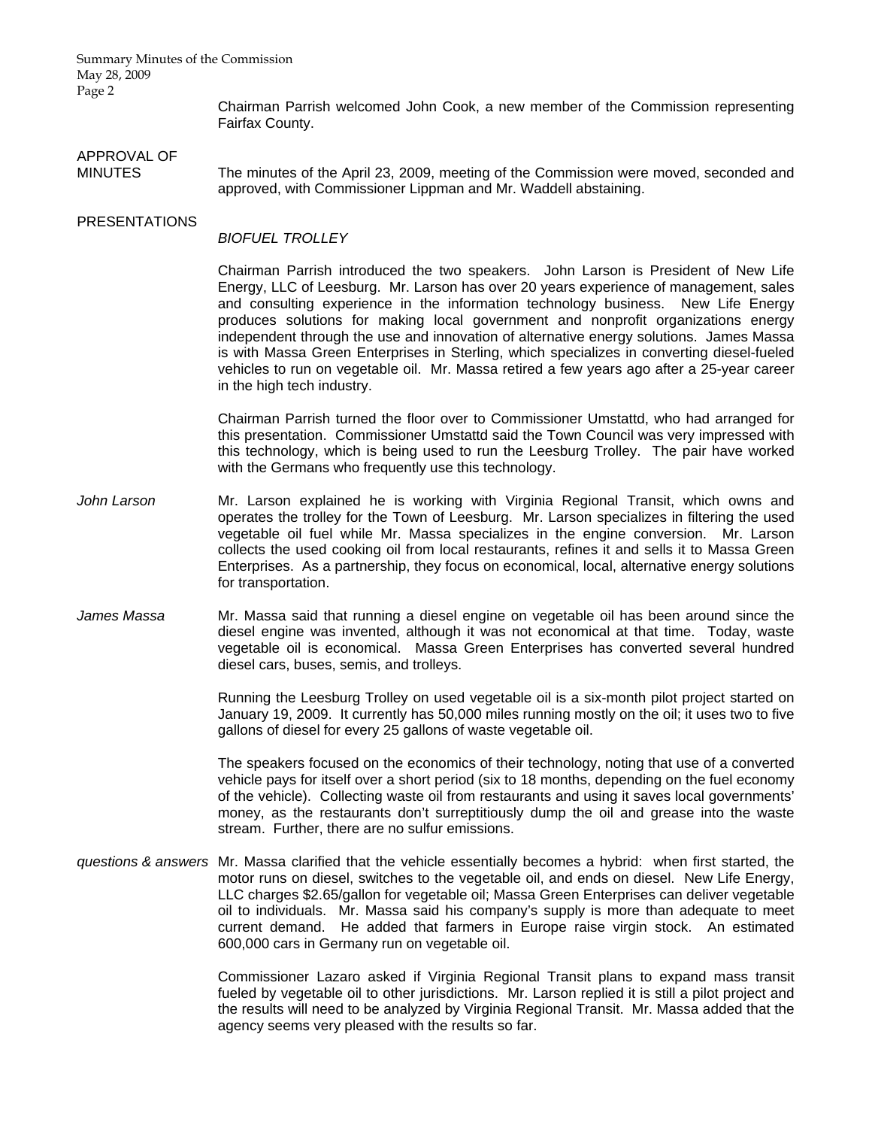Summary Minutes of the Commission May 28, 2009 Page 2

> Chairman Parrish welcomed John Cook, a new member of the Commission representing Fairfax County.

# APPROVAL OF

MINUTES The minutes of the April 23, 2009, meeting of the Commission were moved, seconded and approved, with Commissioner Lippman and Mr. Waddell abstaining.

## PRESENTATIONS

## *BIOFUEL TROLLEY*

Chairman Parrish introduced the two speakers. John Larson is President of New Life Energy, LLC of Leesburg. Mr. Larson has over 20 years experience of management, sales and consulting experience in the information technology business. New Life Energy produces solutions for making local government and nonprofit organizations energy independent through the use and innovation of alternative energy solutions. James Massa is with Massa Green Enterprises in Sterling, which specializes in converting diesel-fueled vehicles to run on vegetable oil. Mr. Massa retired a few years ago after a 25-year career in the high tech industry.

Chairman Parrish turned the floor over to Commissioner Umstattd, who had arranged for this presentation. Commissioner Umstattd said the Town Council was very impressed with this technology, which is being used to run the Leesburg Trolley. The pair have worked with the Germans who frequently use this technology.

- *John Larson* Mr. Larson explained he is working with Virginia Regional Transit, which owns and operates the trolley for the Town of Leesburg. Mr. Larson specializes in filtering the used vegetable oil fuel while Mr. Massa specializes in the engine conversion. Mr. Larson collects the used cooking oil from local restaurants, refines it and sells it to Massa Green Enterprises. As a partnership, they focus on economical, local, alternative energy solutions for transportation.
- *James Massa* Mr. Massa said that running a diesel engine on vegetable oil has been around since the diesel engine was invented, although it was not economical at that time. Today, waste vegetable oil is economical. Massa Green Enterprises has converted several hundred diesel cars, buses, semis, and trolleys.

Running the Leesburg Trolley on used vegetable oil is a six-month pilot project started on January 19, 2009. It currently has 50,000 miles running mostly on the oil; it uses two to five gallons of diesel for every 25 gallons of waste vegetable oil.

The speakers focused on the economics of their technology, noting that use of a converted vehicle pays for itself over a short period (six to 18 months, depending on the fuel economy of the vehicle). Collecting waste oil from restaurants and using it saves local governments' money, as the restaurants don't surreptitiously dump the oil and grease into the waste stream. Further, there are no sulfur emissions.

*questions & answers* Mr. Massa clarified that the vehicle essentially becomes a hybrid: when first started, the motor runs on diesel, switches to the vegetable oil, and ends on diesel. New Life Energy, LLC charges \$2.65/gallon for vegetable oil; Massa Green Enterprises can deliver vegetable oil to individuals. Mr. Massa said his company's supply is more than adequate to meet current demand. He added that farmers in Europe raise virgin stock. An estimated 600,000 cars in Germany run on vegetable oil.

> Commissioner Lazaro asked if Virginia Regional Transit plans to expand mass transit fueled by vegetable oil to other jurisdictions. Mr. Larson replied it is still a pilot project and the results will need to be analyzed by Virginia Regional Transit. Mr. Massa added that the agency seems very pleased with the results so far.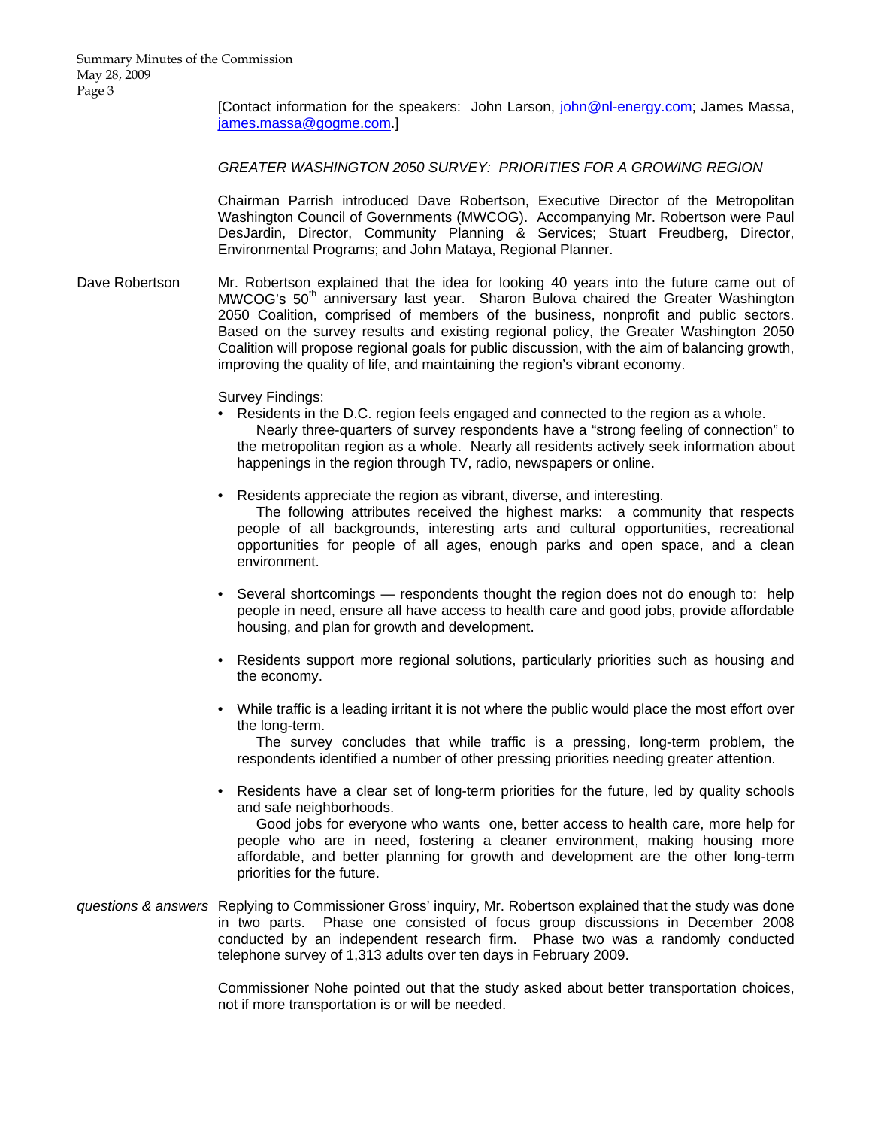[Contact information for the speakers: John Larson, [john@nl-energy.com](mailto:john@nl-energy.com); James Massa, [james.massa@gogme.com.](mailto:james.massa@gogme.com)]

*GREATER WASHINGTON 2050 SURVEY: PRIORITIES FOR A GROWING REGION* 

 Chairman Parrish introduced Dave Robertson, Executive Director of the Metropolitan Washington Council of Governments (MWCOG). Accompanying Mr. Robertson were Paul DesJardin, Director, Community Planning & Services; Stuart Freudberg, Director, Environmental Programs; and John Mataya, Regional Planner.

Dave Robertson Mr. Robertson explained that the idea for looking 40 years into the future came out of MWCOG's 50<sup>th</sup> anniversary last year. Sharon Bulova chaired the Greater Washington 2050 Coalition, comprised of members of the business, nonprofit and public sectors. Based on the survey results and existing regional policy, the Greater Washington 2050 Coalition will propose regional goals for public discussion, with the aim of balancing growth, improving the quality of life, and maintaining the region's vibrant economy.

Survey Findings:

• Residents in the D.C. region feels engaged and connected to the region as a whole.

 Nearly three-quarters of survey respondents have a "strong feeling of connection" to the metropolitan region as a whole. Nearly all residents actively seek information about happenings in the region through TV, radio, newspapers or online.

- Residents appreciate the region as vibrant, diverse, and interesting. The following attributes received the highest marks: a community that respects people of all backgrounds, interesting arts and cultural opportunities, recreational opportunities for people of all ages, enough parks and open space, and a clean environment.
- Several shortcomings respondents thought the region does not do enough to: help people in need, ensure all have access to health care and good jobs, provide affordable housing, and plan for growth and development.
- Residents support more regional solutions, particularly priorities such as housing and the economy.
- While traffic is a leading irritant it is not where the public would place the most effort over the long-term.

 The survey concludes that while traffic is a pressing, long-term problem, the respondents identified a number of other pressing priorities needing greater attention.

• Residents have a clear set of long-term priorities for the future, led by quality schools and safe neighborhoods.

 Good jobs for everyone who wants one, better access to health care, more help for people who are in need, fostering a cleaner environment, making housing more affordable, and better planning for growth and development are the other long-term priorities for the future.

*questions & answers* Replying to Commissioner Gross' inquiry, Mr. Robertson explained that the study was done in two parts. Phase one consisted of focus group discussions in December 2008 conducted by an independent research firm. Phase two was a randomly conducted telephone survey of 1,313 adults over ten days in February 2009.

> Commissioner Nohe pointed out that the study asked about better transportation choices, not if more transportation is or will be needed.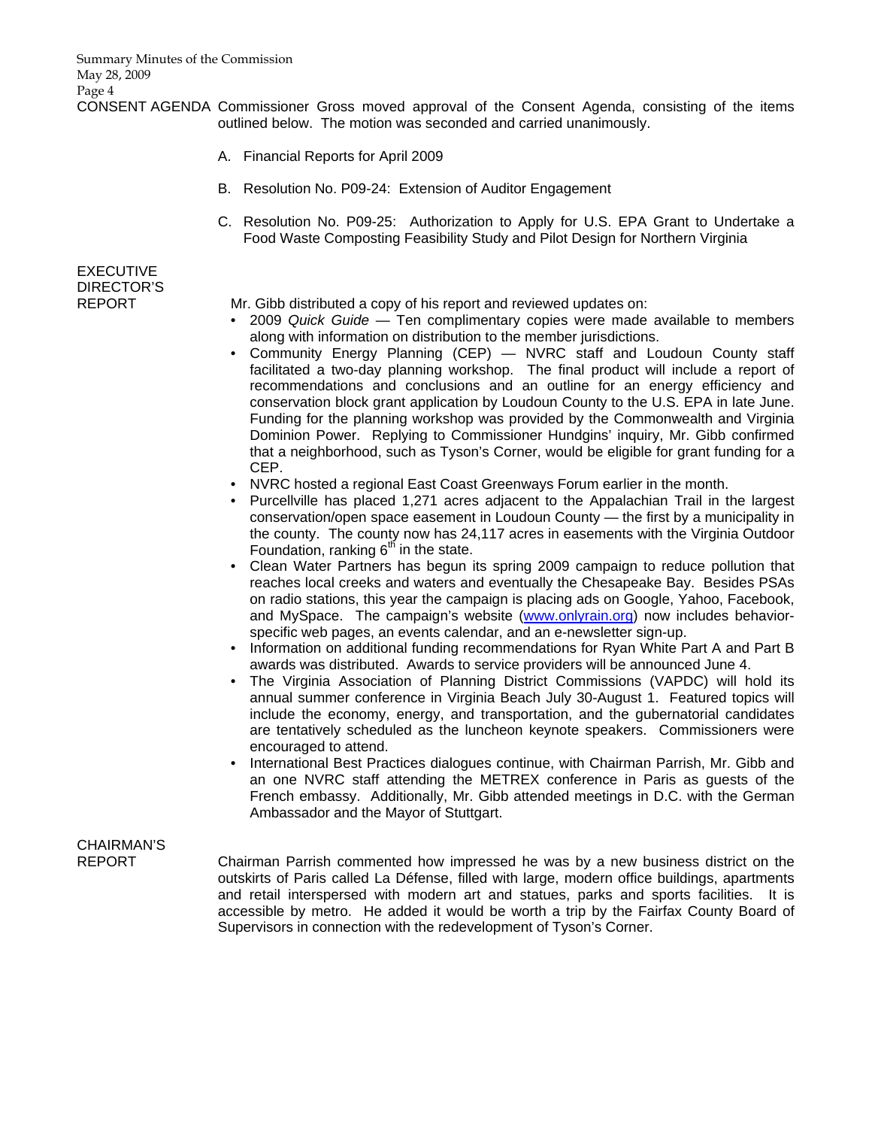CONSENT AGENDA Commissioner Gross moved approval of the Consent Agenda, consisting of the items outlined below. The motion was seconded and carried unanimously.

- A. Financial Reports for April 2009
- B. Resolution No. P09-24: Extension of Auditor Engagement
- C. Resolution No. P09-25: Authorization to Apply for U.S. EPA Grant to Undertake a Food Waste Composting Feasibility Study and Pilot Design for Northern Virginia

EXECUTIVE DIRECTOR'S

REPORT Mr. Gibb distributed a copy of his report and reviewed updates on:

- 2009 *Quick Guide* Ten complimentary copies were made available to members along with information on distribution to the member jurisdictions.
- Community Energy Planning (CEP) NVRC staff and Loudoun County staff facilitated a two-day planning workshop. The final product will include a report of recommendations and conclusions and an outline for an energy efficiency and conservation block grant application by Loudoun County to the U.S. EPA in late June. Funding for the planning workshop was provided by the Commonwealth and Virginia Dominion Power. Replying to Commissioner Hundgins' inquiry, Mr. Gibb confirmed that a neighborhood, such as Tyson's Corner, would be eligible for grant funding for a CEP.
- NVRC hosted a regional East Coast Greenways Forum earlier in the month.
- Purcellville has placed 1,271 acres adjacent to the Appalachian Trail in the largest conservation/open space easement in Loudoun County — the first by a municipality in the county. The county now has 24,117 acres in easements with the Virginia Outdoor Foundation, ranking  $6<sup>th</sup>$  in the state.
- Clean Water Partners has begun its spring 2009 campaign to reduce pollution that reaches local creeks and waters and eventually the Chesapeake Bay. Besides PSAs on radio stations, this year the campaign is placing ads on Google, Yahoo, Facebook, and MySpace. The campaign's website ([www.onlyrain.org\)](http://www.onlyrain.org/) now includes behaviorspecific web pages, an events calendar, and an e-newsletter sign-up.
- Information on additional funding recommendations for Ryan White Part A and Part B awards was distributed. Awards to service providers will be announced June 4.
- The Virginia Association of Planning District Commissions (VAPDC) will hold its annual summer conference in Virginia Beach July 30-August 1. Featured topics will include the economy, energy, and transportation, and the gubernatorial candidates are tentatively scheduled as the luncheon keynote speakers. Commissioners were encouraged to attend.
- International Best Practices dialogues continue, with Chairman Parrish, Mr. Gibb and an one NVRC staff attending the METREX conference in Paris as guests of the French embassy. Additionally, Mr. Gibb attended meetings in D.C. with the German Ambassador and the Mayor of Stuttgart.

# CHAIRMAN'S

REPORT Chairman Parrish commented how impressed he was by a new business district on the outskirts of Paris called La Défense, filled with large, modern office buildings, apartments and retail interspersed with modern art and statues, parks and sports facilities. It is accessible by metro. He added it would be worth a trip by the Fairfax County Board of Supervisors in connection with the redevelopment of Tyson's Corner.